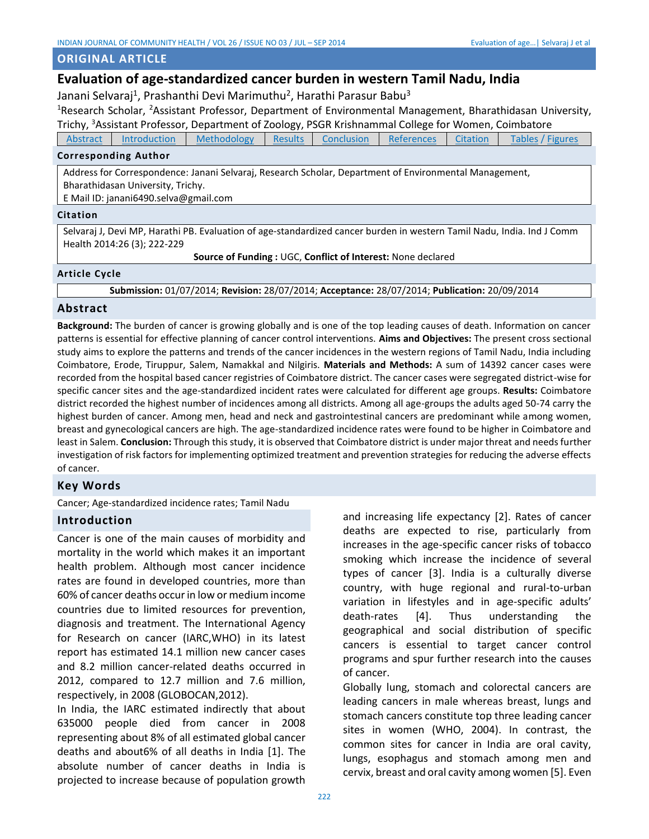# **ORIGINAL ARTICLE**

# **Evaluation of age-standardized cancer burden in western Tamil Nadu, India**

Janani Selvaraj<sup>1</sup>, Prashanthi Devi Marimuthu<sup>2</sup>, Harathi Parasur Babu<sup>3</sup>

<sup>1</sup>Research Scholar, <sup>2</sup>Assistant Professor, Department of Environmental Management, Bharathidasan University, Trichy, <sup>3</sup>Assistant Professor, Department of Zoology, PSGR Krishnammal College for Women, Coimbatore

[Abstract](#page-0-0) [Introduction](#page-0-1) [Methodology](#page-1-0) [Results](#page-1-1) [Conclusion](#page-3-0) [References](#page-3-1) [Citation](#page-0-2) [Tables](#page-4-0) [/ Figures](#page-5-0)

## **Corresponding Author**

Address for Correspondence: Janani Selvaraj, Research Scholar, Department of Environmental Management, Bharathidasan University, Trichy.

E Mail ID: janani6490.selva@gmail.com

#### **Citation**

Selvaraj J, Devi MP, Harathi PB. Evaluation of age-standardized cancer burden in western Tamil Nadu, India. Ind J Comm Health 2014:26 (3); 222-229

<span id="page-0-2"></span>**Source of Funding :** UGC, **Conflict of Interest:** None declared

## <span id="page-0-0"></span>**Article Cycle**

**Submission:** 01/07/2014; **Revision:** 28/07/2014; **Acceptance:** 28/07/2014; **Publication:** 20/09/2014

# **Abstract**

**Background:** The burden of cancer is growing globally and is one of the top leading causes of death. Information on cancer patterns is essential for effective planning of cancer control interventions. **Aims and Objectives:** The present cross sectional study aims to explore the patterns and trends of the cancer incidences in the western regions of Tamil Nadu, India including Coimbatore, Erode, Tiruppur, Salem, Namakkal and Nilgiris. **Materials and Methods:** A sum of 14392 cancer cases were recorded from the hospital based cancer registries of Coimbatore district. The cancer cases were segregated district-wise for specific cancer sites and the age-standardized incident rates were calculated for different age groups. **Results:** Coimbatore district recorded the highest number of incidences among all districts. Among all age-groups the adults aged 50-74 carry the highest burden of cancer. Among men, head and neck and gastrointestinal cancers are predominant while among women, breast and gynecological cancers are high. The age-standardized incidence rates were found to be higher in Coimbatore and least in Salem. **Conclusion:** Through this study, it is observed that Coimbatore district is under major threat and needs further investigation of risk factors for implementing optimized treatment and prevention strategies for reducing the adverse effects of cancer.

## **Key Words**

Cancer; Age-standardized incidence rates; Tamil Nadu

## <span id="page-0-1"></span>**Introduction**

Cancer is one of the main causes of morbidity and mortality in the world which makes it an important health problem. Although most cancer incidence rates are found in developed countries, more than 60% of cancer deaths occur in low or medium income countries due to limited resources for prevention, diagnosis and treatment. The International Agency for Research on cancer (IARC,WHO) in its latest report has estimated 14.1 million new cancer cases and 8.2 million cancer-related deaths occurred in 2012, compared to 12.7 million and 7.6 million, respectively, in 2008 (GLOBOCAN,2012).

In India, the IARC estimated indirectly that about 635000 people died from cancer in 2008 representing about 8% of all estimated global cancer deaths and about6% of all deaths in India [1]. The absolute number of cancer deaths in India is projected to increase because of population growth and increasing life expectancy [2]. Rates of cancer deaths are expected to rise, particularly from increases in the age-specific cancer risks of tobacco smoking which increase the incidence of several types of cancer [3]. India is a culturally diverse country, with huge regional and rural-to-urban variation in lifestyles and in age-specific adults' death-rates [4]. Thus understanding the geographical and social distribution of specific cancers is essential to target cancer control programs and spur further research into the causes of cancer.

Globally lung, stomach and colorectal cancers are leading cancers in male whereas breast, lungs and stomach cancers constitute top three leading cancer sites in women (WHO, 2004). In contrast, the common sites for cancer in India are oral cavity, lungs, esophagus and stomach among men and cervix, breast and oral cavity among women [5]. Even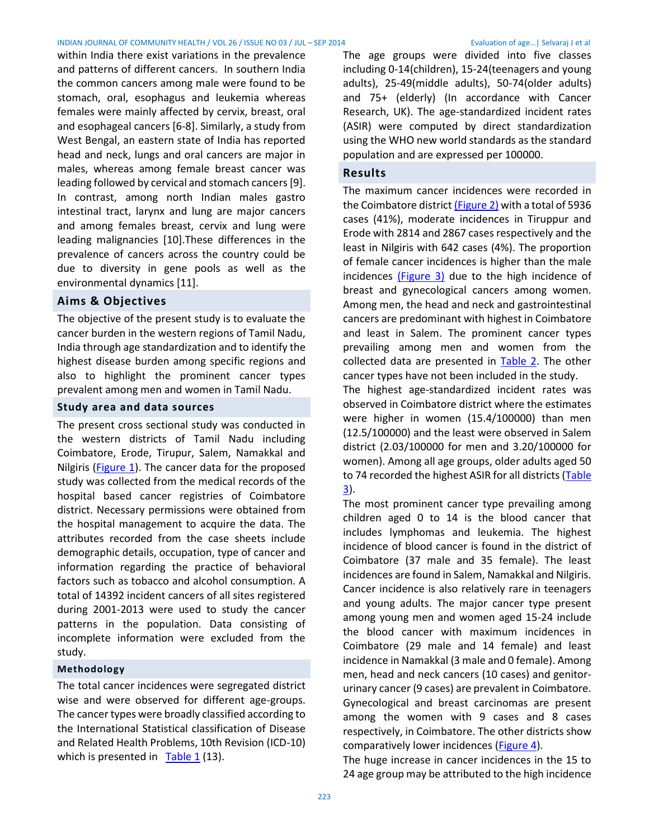#### INDIAN JOURNAL OF COMMUNITY HEALTH / VOL 26 / ISSUE NO 03 / JUL – SEP 2014 Evaluation of age…| Selvaraj J et al

within India there exist variations in the prevalence and patterns of different cancers. In southern India the common cancers among male were found to be stomach, oral, esophagus and leukemia whereas females were mainly affected by cervix, breast, oral and esophageal cancers [6-8]. Similarly, a study from West Bengal, an eastern state of India has reported head and neck, lungs and oral cancers are major in males, whereas among female breast cancer was leading followed by cervical and stomach cancers [9]. In contrast, among north Indian males gastro intestinal tract, larynx and lung are major cancers and among females breast, cervix and lung were leading malignancies [10].These differences in the prevalence of cancers across the country could be due to diversity in gene pools as well as the environmental dynamics [11].

# **Aims & Objectives**

The objective of the present study is to evaluate the cancer burden in the western regions of Tamil Nadu, India through age standardization and to identify the highest disease burden among specific regions and also to highlight the prominent cancer types prevalent among men and women in Tamil Nadu.

#### <span id="page-1-0"></span>**Study area and data sources**

The present cross sectional study was conducted in the western districts of Tamil Nadu including Coimbatore, Erode, Tirupur, Salem, Namakkal and Nilgiris [\(Figure](#page-5-1) 1). The cancer data for the proposed study was collected from the medical records of the hospital based cancer registries of Coimbatore district. Necessary permissions were obtained from the hospital management to acquire the data. The attributes recorded from the case sheets include demographic details, occupation, type of cancer and information regarding the practice of behavioral factors such as tobacco and alcohol consumption. A total of 14392 incident cancers of all sites registered during 2001-2013 were used to study the cancer patterns in the population. Data consisting of incomplete information were excluded from the study.

## **Methodology**

The total cancer incidences were segregated district wise and were observed for different age-groups. The cancer types were broadly classified according to the International Statistical classification of Disease and Related Health Problems, 10th Revision (ICD-10) which is presented in Table  $1(13)$ .

The age groups were divided into five classes including 0-14(children), 15-24(teenagers and young adults), 25-49(middle adults), 50-74(older adults) and 75+ (elderly) (In accordance with Cancer Research, UK). The age-standardized incident rates (ASIR) were computed by direct standardization using the WHO new world standards as the standard population and are expressed per 100000.

# <span id="page-1-1"></span>**Results**

The maximum cancer incidences were recorded in the Coimbatore distric[t \(Figure](#page-5-2) 2) with a total of 5936 cases (41%), moderate incidences in Tiruppur and Erode with 2814 and 2867 cases respectively and the least in Nilgiris with 642 cases (4%). The proportion of female cancer incidences is higher than the male incidences [\(Figure](#page-6-0) 3) due to the high incidence of breast and gynecological cancers among women. Among men, the head and neck and gastrointestinal cancers are predominant with highest in Coimbatore and least in Salem. The prominent cancer types prevailing among men and women from the collected data are presented in **Table 2**. The other cancer types have not been included in the study.

The highest age-standardized incident rates was observed in Coimbatore district where the estimates were higher in women (15.4/100000) than men (12.5/100000) and the least were observed in Salem district (2.03/100000 for men and 3.20/100000 for women). Among all age groups, older adults aged 50 to 74 recorded the highest ASIR for all districts [\(Table](#page-4-3)  [3\)](#page-4-3).

The most prominent cancer type prevailing among children aged 0 to 14 is the blood cancer that includes lymphomas and leukemia. The highest incidence of blood cancer is found in the district of Coimbatore (37 male and 35 female). The least incidences are found in Salem, Namakkal and Nilgiris. Cancer incidence is also relatively rare in teenagers and young adults. The major cancer type present among young men and women aged 15-24 include the blood cancer with maximum incidences in Coimbatore (29 male and 14 female) and least incidence in Namakkal (3 male and 0 female). Among men, head and neck cancers (10 cases) and genitorurinary cancer (9 cases) are prevalent in Coimbatore. Gynecological and breast carcinomas are present among the women with 9 cases and 8 cases respectively, in Coimbatore. The other districts show comparatively lower incidences [\(Figure](#page-6-1) 4).

The huge increase in cancer incidences in the 15 to 24 age group may be attributed to the high incidence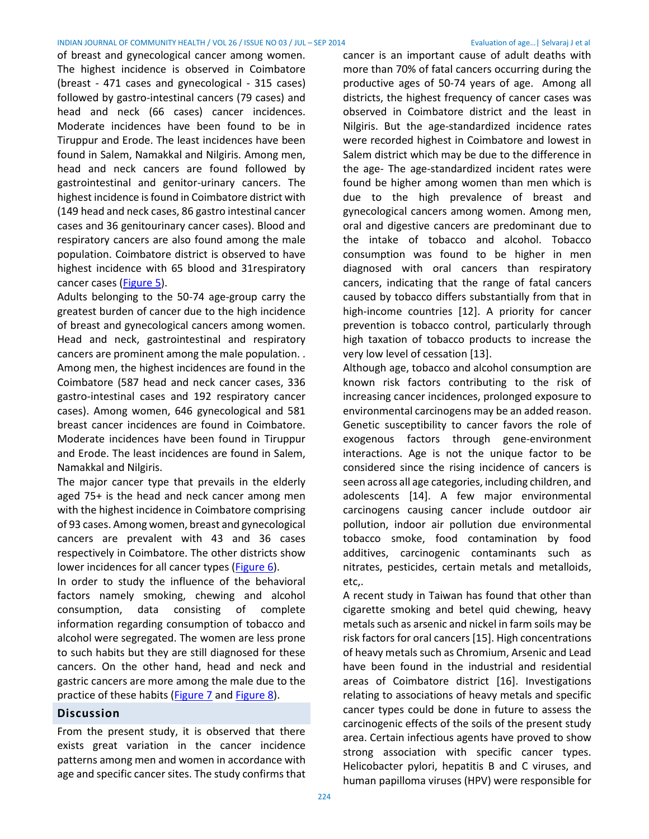#### INDIAN JOURNAL OF COMMUNITY HEALTH / VOL 26 / ISSUE NO 03 / JUL – SEP 2014 Evaluation of age…| Selvaraj J et al

of breast and gynecological cancer among women. The highest incidence is observed in Coimbatore (breast - 471 cases and gynecological - 315 cases) followed by gastro-intestinal cancers (79 cases) and head and neck (66 cases) cancer incidences. Moderate incidences have been found to be in Tiruppur and Erode. The least incidences have been found in Salem, Namakkal and Nilgiris. Among men, head and neck cancers are found followed by gastrointestinal and genitor-urinary cancers. The highest incidence is found in Coimbatore district with (149 head and neck cases, 86 gastro intestinal cancer cases and 36 genitourinary cancer cases). Blood and respiratory cancers are also found among the male population. Coimbatore district is observed to have highest incidence with 65 blood and 31respiratory cancer cases [\(Figure](#page-6-2) 5).

Adults belonging to the 50-74 age-group carry the greatest burden of cancer due to the high incidence of breast and gynecological cancers among women. Head and neck, gastrointestinal and respiratory cancers are prominent among the male population. . Among men, the highest incidences are found in the Coimbatore (587 head and neck cancer cases, 336 gastro-intestinal cases and 192 respiratory cancer cases). Among women, 646 gynecological and 581 breast cancer incidences are found in Coimbatore. Moderate incidences have been found in Tiruppur and Erode. The least incidences are found in Salem, Namakkal and Nilgiris.

The major cancer type that prevails in the elderly aged 75+ is the head and neck cancer among men with the highest incidence in Coimbatore comprising of 93 cases. Among women, breast and gynecological cancers are prevalent with 43 and 36 cases respectively in Coimbatore. The other districts show lower incidences for all cancer types [\(Figure](#page-7-0) 6).

In order to study the influence of the behavioral factors namely smoking, chewing and alcohol consumption, data consisting of complete information regarding consumption of tobacco and alcohol were segregated. The women are less prone to such habits but they are still diagnosed for these cancers. On the other hand, head and neck and gastric cancers are more among the male due to the practice of these habits [\(Figure](#page-7-1) 7 and [Figure 8\)](#page-7-2).

## **Discussion**

From the present study, it is observed that there exists great variation in the cancer incidence patterns among men and women in accordance with age and specific cancer sites. The study confirms that cancer is an important cause of adult deaths with more than 70% of fatal cancers occurring during the productive ages of 50-74 years of age. Among all districts, the highest frequency of cancer cases was observed in Coimbatore district and the least in Nilgiris. But the age-standardized incidence rates were recorded highest in Coimbatore and lowest in Salem district which may be due to the difference in the age- The age-standardized incident rates were found be higher among women than men which is due to the high prevalence of breast and gynecological cancers among women. Among men, oral and digestive cancers are predominant due to the intake of tobacco and alcohol. Tobacco consumption was found to be higher in men diagnosed with oral cancers than respiratory cancers, indicating that the range of fatal cancers caused by tobacco differs substantially from that in high-income countries [12]. A priority for cancer prevention is tobacco control, particularly through high taxation of tobacco products to increase the very low level of cessation [13].

Although age, tobacco and alcohol consumption are known risk factors contributing to the risk of increasing cancer incidences, prolonged exposure to environmental carcinogens may be an added reason. Genetic susceptibility to cancer favors the role of exogenous factors through gene-environment interactions. Age is not the unique factor to be considered since the rising incidence of cancers is seen across all age categories, including children, and adolescents [14]. A few major environmental carcinogens causing cancer include outdoor air pollution, indoor air pollution due environmental tobacco smoke, food contamination by food additives, carcinogenic contaminants such as nitrates, pesticides, certain metals and metalloids, etc,.

A recent study in Taiwan has found that other than cigarette smoking and betel quid chewing, heavy metals such as arsenic and nickel in farm soils may be risk factors for oral cancers [15]. High concentrations of heavy metals such as Chromium, Arsenic and Lead have been found in the industrial and residential areas of Coimbatore district [16]. Investigations relating to associations of heavy metals and specific cancer types could be done in future to assess the carcinogenic effects of the soils of the present study area. Certain infectious agents have proved to show strong association with specific cancer types. Helicobacter pylori, hepatitis B and C viruses, and human papilloma viruses (HPV) were responsible for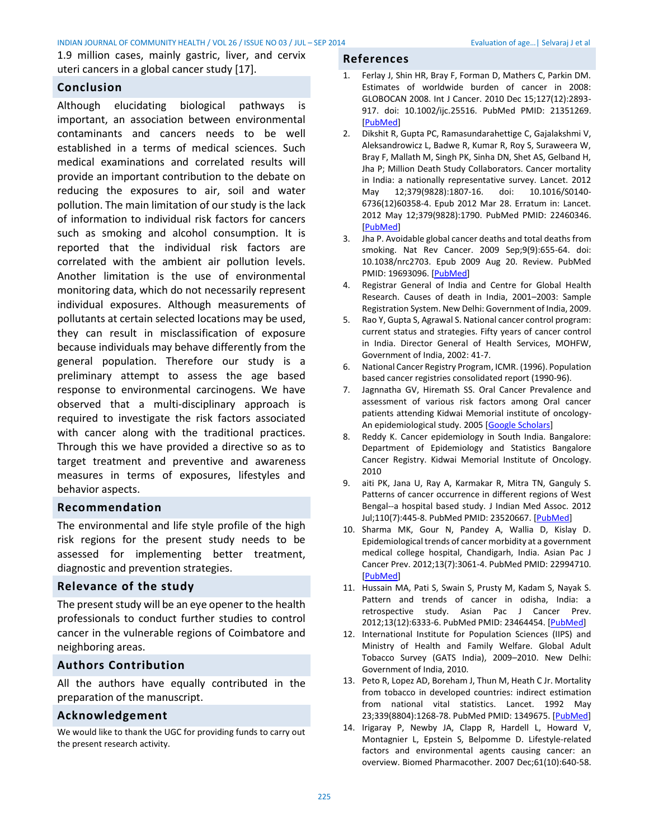1.9 million cases, mainly gastric, liver, and cervix uteri cancers in a global cancer study [17].

# <span id="page-3-0"></span>**Conclusion**

Although elucidating biological pathways is important, an association between environmental contaminants and cancers needs to be well established in a terms of medical sciences. Such medical examinations and correlated results will provide an important contribution to the debate on reducing the exposures to air, soil and water pollution. The main limitation of our study is the lack of information to individual risk factors for cancers such as smoking and alcohol consumption. It is reported that the individual risk factors are correlated with the ambient air pollution levels. Another limitation is the use of environmental monitoring data, which do not necessarily represent individual exposures. Although measurements of pollutants at certain selected locations may be used, they can result in misclassification of exposure because individuals may behave differently from the general population. Therefore our study is a preliminary attempt to assess the age based response to environmental carcinogens. We have observed that a multi-disciplinary approach is required to investigate the risk factors associated with cancer along with the traditional practices. Through this we have provided a directive so as to target treatment and preventive and awareness measures in terms of exposures, lifestyles and behavior aspects.

## **Recommendation**

The environmental and life style profile of the high risk regions for the present study needs to be assessed for implementing better treatment, diagnostic and prevention strategies.

# **Relevance of the study**

The present study will be an eye opener to the health professionals to conduct further studies to control cancer in the vulnerable regions of Coimbatore and neighboring areas.

# **Authors Contribution**

All the authors have equally contributed in the preparation of the manuscript.

## **Acknowledgement**

We would like to thank the UGC for providing funds to carry out the present research activity.

# <span id="page-3-1"></span>**References**

- 1. Ferlay J, Shin HR, Bray F, Forman D, Mathers C, Parkin DM. Estimates of worldwide burden of cancer in 2008: GLOBOCAN 2008. Int J Cancer. 2010 Dec 15;127(12):2893- 917. doi: 10.1002/ijc.25516. PubMed PMID: 21351269. [\[PubMed\]](http://www.ncbi.nlm.nih.gov/pubmed/21351269)
- 2. Dikshit R, Gupta PC, Ramasundarahettige C, Gajalakshmi V, Aleksandrowicz L, Badwe R, Kumar R, Roy S, Suraweera W, Bray F, Mallath M, Singh PK, Sinha DN, Shet AS, Gelband H, Jha P; Million Death Study Collaborators. Cancer mortality in India: a nationally representative survey. Lancet. 2012 May 12;379(9828):1807-16. doi: 10.1016/S0140- 6736(12)60358-4. Epub 2012 Mar 28. Erratum in: Lancet. 2012 May 12;379(9828):1790. PubMed PMID: 22460346. [\[PubMed\]](http://www.ncbi.nlm.nih.gov/pubmed/22460346)
- 3. Jha P. Avoidable global cancer deaths and total deaths from smoking. Nat Rev Cancer. 2009 Sep;9(9):655-64. doi: 10.1038/nrc2703. Epub 2009 Aug 20. Review. PubMed PMID: 19693096. [\[PubMed\]](http://www.ncbi.nlm.nih.gov/pubmed/19693096)
- 4. Registrar General of India and Centre for Global Health Research. Causes of death in India, 2001–2003: Sample Registration System. New Delhi: Government of India, 2009.
- 5. Rao Y, Gupta S, Agrawal S. National cancer control program: current status and strategies. Fifty years of cancer control in India. Director General of Health Services, MOHFW, Government of India, 2002: 41-7.
- 6. National Cancer Registry Program, ICMR. (1996). Population based cancer registries consolidated report (1990-96).
- 7. Jagnnatha GV, Hiremath SS. Oral Cancer Prevalence and assessment of various risk factors among Oral cancer patients attending Kidwai Memorial institute of oncology-An epidemiological study. 2005 [\[Google Scholars\]](http://scholar.google.co.in/scholar?q=GV+Jagnnatha%2C+SS+Hiremath&btnG=&hl=en&as_sdt=0%2C5)
- 8. Reddy K. Cancer epidemiology in South India. Bangalore: Department of Epidemiology and Statistics Bangalore Cancer Registry. Kidwai Memorial Institute of Oncology. 2010
- 9. aiti PK, Jana U, Ray A, Karmakar R, Mitra TN, Ganguly S. Patterns of cancer occurrence in different regions of West Bengal--a hospital based study. J Indian Med Assoc. 2012 Jul;110(7):445-8. PubMed PMID: 23520667. [\[PubMed\]](http://www.ncbi.nlm.nih.gov/pubmed/23520667)
- 10. Sharma MK, Gour N, Pandey A, Wallia D, Kislay D. Epidemiological trends of cancer morbidity at a government medical college hospital, Chandigarh, India. Asian Pac J Cancer Prev. 2012;13(7):3061-4. PubMed PMID: 22994710. [\[PubMed\]](http://www.ncbi.nlm.nih.gov/pubmed/22994710)
- 11. Hussain MA, Pati S, Swain S, Prusty M, Kadam S, Nayak S. Pattern and trends of cancer in odisha, India: a retrospective study. Asian Pac J Cancer Prev. 2012;13(12):6333-6. PubMed PMID: 23464454. [\[PubMed\]](http://www.ncbi.nlm.nih.gov/pubmed/23464454)
- 12. International Institute for Population Sciences (IIPS) and Ministry of Health and Family Welfare. Global Adult Tobacco Survey (GATS India), 2009–2010. New Delhi: Government of India, 2010.
- 13. Peto R, Lopez AD, Boreham J, Thun M, Heath C Jr. Mortality from tobacco in developed countries: indirect estimation from national vital statistics. Lancet. 1992 May 23;339(8804):1268-78. PubMed PMID: 1349675. [\[PubMed\]](http://www.ncbi.nlm.nih.gov/pubmed/1349675)
- 14. Irigaray P, Newby JA, Clapp R, Hardell L, Howard V, Montagnier L, Epstein S, Belpomme D. Lifestyle-related factors and environmental agents causing cancer: an overview. Biomed Pharmacother. 2007 Dec;61(10):640-58.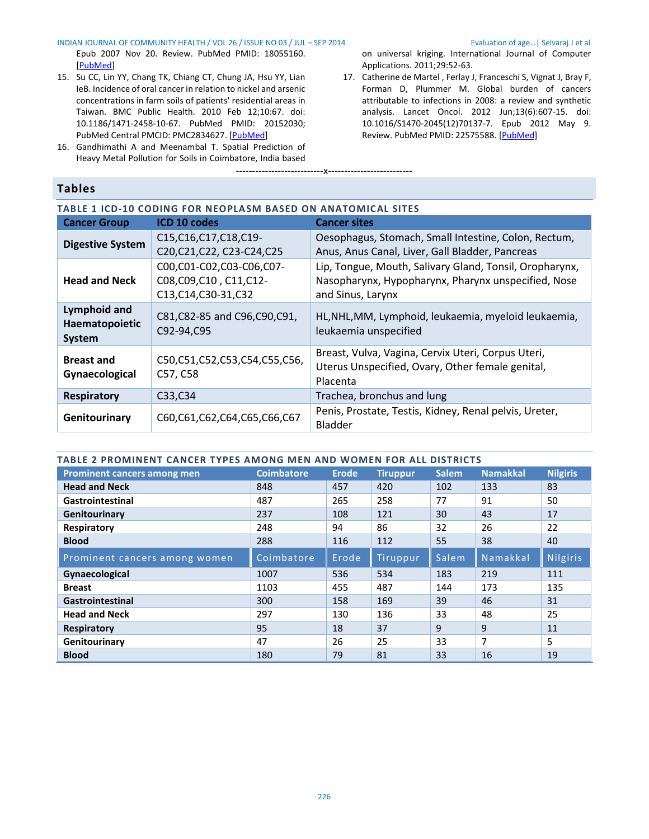#### INDIAN JOURNAL OF COMMUNITY HEALTH / VOL 26 / ISSUE NO 03 / JUL – SEP 2014 Evaluation of age…| Selvaraj J et al

Epub 2007 Nov 20. Review. PubMed PMID: 18055160. [\[PubMed\]](http://www.ncbi.nlm.nih.gov/pubmed/18055160)

- 15. Su CC, Lin YY, Chang TK, Chiang CT, Chung JA, Hsu YY, Lian IeB. Incidence of oral cancer in relation to nickel and arsenic concentrations in farm soils of patients' residential areas in Taiwan. BMC Public Health. 2010 Feb 12;10:67. doi: 10.1186/1471-2458-10-67. PubMed PMID: 20152030; PubMed Central PMCID: PMC2834627. [\[PubMed\]](http://www.ncbi.nlm.nih.gov/pubmed/20152030)
- 16. Gandhimathi A and Meenambal T. Spatial Prediction of Heavy Metal Pollution for Soils in Coimbatore, India based

# <span id="page-4-0"></span>**Tables**

on universal kriging. International Journal of Computer Applications. 2011;29:52-63.

17. Catherine de Martel , Ferlay J, Franceschi S, Vignat J, Bray F, Forman D, Plummer M. Global burden of cancers attributable to infections in 2008: a review and synthetic analysis. Lancet Oncol. 2012 Jun;13(6):607-15. doi: 10.1016/S1470-2045(12)70137-7. Epub 2012 May 9. Review. PubMed PMID: 22575588. [\[PubMed\]](http://www.ncbi.nlm.nih.gov/pubmed/22575588)

<span id="page-4-1"></span>

| TABLE 1 ICD-10 CODING FOR NEOPLASM BASED ON ANATOMICAL SITES |                                                                               |                                                                                                                                     |  |  |  |  |  |
|--------------------------------------------------------------|-------------------------------------------------------------------------------|-------------------------------------------------------------------------------------------------------------------------------------|--|--|--|--|--|
| <b>Cancer Group</b>                                          | ICD 10 codes                                                                  | <b>Cancer sites</b>                                                                                                                 |  |  |  |  |  |
| <b>Digestive System</b>                                      | C15, C16, C17, C18, C19-<br>C20, C21, C22, C23-C24, C25                       | Oesophagus, Stomach, Small Intestine, Colon, Rectum,<br>Anus, Anus Canal, Liver, Gall Bladder, Pancreas                             |  |  |  |  |  |
| <b>Head and Neck</b>                                         | C00,C01-C02,C03-C06,C07-<br>C08, C09, C10, C11, C12-<br>C13, C14, C30-31, C32 | Lip, Tongue, Mouth, Salivary Gland, Tonsil, Oropharynx,<br>Nasopharynx, Hypopharynx, Pharynx unspecified, Nose<br>and Sinus, Larynx |  |  |  |  |  |
| Lymphoid and<br>Haematopoietic<br><b>System</b>              | C81, C82-85 and C96, C90, C91,<br>C92-94, C95                                 | HL, NHL, MM, Lymphoid, leukaemia, myeloid leukaemia,<br>leukaemia unspecified                                                       |  |  |  |  |  |
| <b>Breast and</b><br>Gynaecological                          | C50,C51,C52,C53,C54,C55,C56,<br>C57, C58                                      | Breast, Vulva, Vagina, Cervix Uteri, Corpus Uteri,<br>Uterus Unspecified, Ovary, Other female genital,<br>Placenta                  |  |  |  |  |  |
| <b>Respiratory</b>                                           | C33, C34                                                                      | Trachea, bronchus and lung                                                                                                          |  |  |  |  |  |
| Genitourinary                                                | C60,C61,C62,C64,C65,C66,C67                                                   | Penis, Prostate, Testis, Kidney, Renal pelvis, Ureter,<br><b>Bladder</b>                                                            |  |  |  |  |  |

---------------------------x--------------------------

# <span id="page-4-3"></span><span id="page-4-2"></span>**TABLE 2 PROMINENT CANCER TYPES AMONG MEN AND WOMEN FOR ALL DISTRICTS Prominent cancers among men Coimbatore Erode Tiruppur Salem Namakkal Nilgiris Head and Neck** 848 457 420 102 133 83 **Gastrointestinal** 487 265 258 77 91 50 **Genitourinary 1237 108 121 30 43 17 Respiratory** 228 248 94 86 32 26 22 **Blood** 288 116 112 55 38 40 Prominent cancers among women  $\|$  Coimbatore  $\|$  Erode  $\|$  Tiruppur  $\|$  Salem  $\|$  Namakkal  $\|$  Nilgiris **Gynaecological** 1007 536 534 183 219 111 **Breast** 1103 455 487 144 173 135 **Gastrointestinal 158 169 39 46 31 Head and Neck** 297 130 136 33 48 25 **Respiratory** 18 37 9 9 11 **Genitourinary** 147 26 25 33 7 5 **Blood** 180 79 81 33 16 19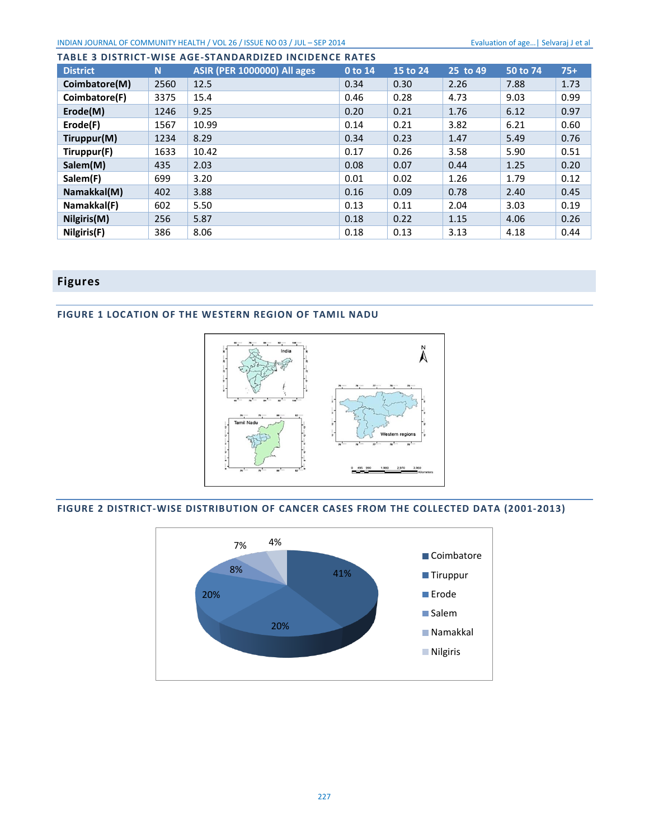| <b>TABLE 3 DISTRICT-WISE AGE-STANDARDIZED INCIDENCE RATES</b> |      |                                    |         |          |          |          |       |  |  |  |
|---------------------------------------------------------------|------|------------------------------------|---------|----------|----------|----------|-------|--|--|--|
| <b>District</b>                                               | N    | <b>ASIR (PER 1000000) All ages</b> | 0 to 14 | 15 to 24 | 25 to 49 | 50 to 74 | $75+$ |  |  |  |
| Coimbatore(M)                                                 | 2560 | 12.5                               | 0.34    | 0.30     | 2.26     | 7.88     | 1.73  |  |  |  |
| Coimbatore(F)                                                 | 3375 | 15.4                               | 0.46    | 0.28     | 4.73     | 9.03     | 0.99  |  |  |  |
| Erode(M)                                                      | 1246 | 9.25                               | 0.20    | 0.21     | 1.76     | 6.12     | 0.97  |  |  |  |
| Erode(F)                                                      | 1567 | 10.99                              | 0.14    | 0.21     | 3.82     | 6.21     | 0.60  |  |  |  |
| Tiruppur(M)                                                   | 1234 | 8.29                               | 0.34    | 0.23     | 1.47     | 5.49     | 0.76  |  |  |  |
| Tiruppur(F)                                                   | 1633 | 10.42                              | 0.17    | 0.26     | 3.58     | 5.90     | 0.51  |  |  |  |
| Salem(M)                                                      | 435  | 2.03                               | 0.08    | 0.07     | 0.44     | 1.25     | 0.20  |  |  |  |
| Salem(F)                                                      | 699  | 3.20                               | 0.01    | 0.02     | 1.26     | 1.79     | 0.12  |  |  |  |
| Namakkal(M)                                                   | 402  | 3.88                               | 0.16    | 0.09     | 0.78     | 2.40     | 0.45  |  |  |  |
| Namakkal(F)                                                   | 602  | 5.50                               | 0.13    | 0.11     | 2.04     | 3.03     | 0.19  |  |  |  |
| Nilgiris(M)                                                   | 256  | 5.87                               | 0.18    | 0.22     | 1.15     | 4.06     | 0.26  |  |  |  |
| Nilgiris(F)                                                   | 386  | 8.06                               | 0.18    | 0.13     | 3.13     | 4.18     | 0.44  |  |  |  |

# <span id="page-5-0"></span>**Figures**

# <span id="page-5-1"></span>**FIGURE 1 LOCATION OF THE WESTERN REGION OF TAMIL NADU**



# <span id="page-5-2"></span>**FIGURE 2 DISTRICT-WISE DISTRIBUTION OF CANCER CASES FROM THE COLLECTED DATA (2001-2013)**

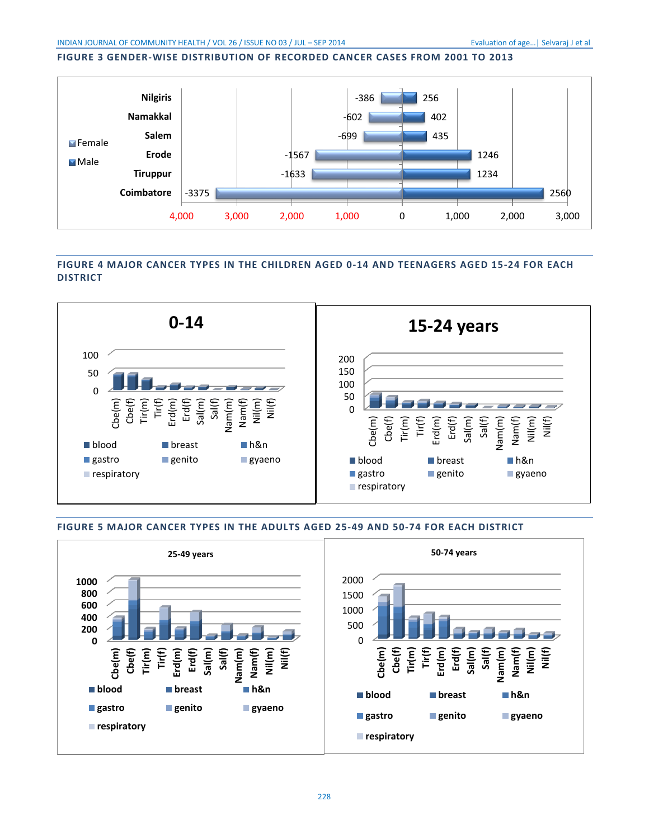# <span id="page-6-0"></span>**FIGURE 3 GENDER-WISE DISTRIBUTION OF RECORDED CANCER CASES FROM 2001 TO 2013**



# <span id="page-6-1"></span>**FIGURE 4 MAJOR CANCER TYPES IN THE CHILDREN AGED 0-14 AND TEENAGERS AGED 15-24 FOR EACH DISTRICT**



#### <span id="page-6-2"></span>**FIGURE 5 MAJOR CANCER TYPES IN THE ADULTS AGED 25-49 AND 50-74 FOR EACH DISTRICT**